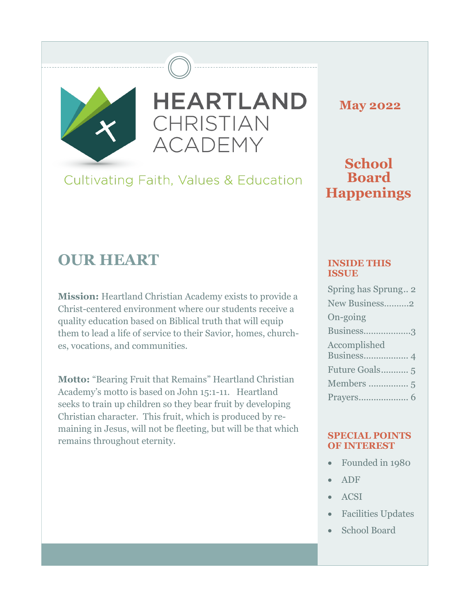

**HEARTLAND** CHRISTIAN **ACADEMY** 

### Cultivating Faith, Values & Education

### **May 2022**

**School Board Happenings**

## **OUR HEART**

**Mission:** Heartland Christian Academy exists to provide a Christ-centered environment where our students receive a quality education based on Biblical truth that will equip them to lead a life of service to their Savior, homes, churches, vocations, and communities.

**Motto:** "Bearing Fruit that Remains" Heartland Christian Academy's motto is based on John 15:1-11. Heartland seeks to train up children so they bear fruit by developing Christian character. This fruit, which is produced by remaining in Jesus, will not be fleeting, but will be that which remains throughout eternity.

#### **INSIDE THIS ISSUE**

| Spring has Sprung 2 |
|---------------------|
| New Business2       |
| On-going            |
| Business3           |
| Accomplished        |
| Future Goals 5      |
|                     |
|                     |

#### **SPECIAL POINTS OF INTEREST**

- Founded in 1980
- ADF
- ACSI
- Facilities Updates
- School Board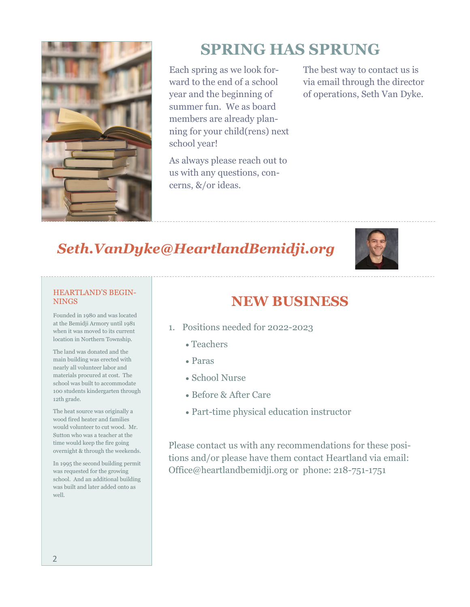

## **SPRING HAS SPRUNG**

Each spring as we look forward to the end of a school year and the beginning of summer fun. We as board members are already planning for your child(rens) next school year!

As always please reach out to us with any questions, concerns, &/or ideas.

The best way to contact us is via email through the director of operations, Seth Van Dyke.

# *Seth.VanDyke@HeartlandBemidji.org*



#### HEARTLAND'S BEGIN-**NINGS**

Founded in 1980 and was located at the Bemidji Armory until 1981 when it was moved to its current location in Northern Township.

The land was donated and the main building was erected with nearly all volunteer labor and materials procured at cost. The school was built to accommodate 100 students kindergarten through 12th grade.

The heat source was originally a wood fired heater and families would volunteer to cut wood. Mr. Sutton who was a teacher at the time would keep the fire going overnight & through the weekends.

In 1995 the second building permit was requested for the growing school. And an additional building was built and later added onto as well.

### **NEW BUSINESS**

- 1. Positions needed for 2022-2023
	- Teachers
	- Paras
	- School Nurse
	- Before & After Care
	- Part-time physical education instructor

Please contact us with any recommendations for these positions and/or please have them contact Heartland via email: Office@heartlandbemidji.org or phone: 218-751-1751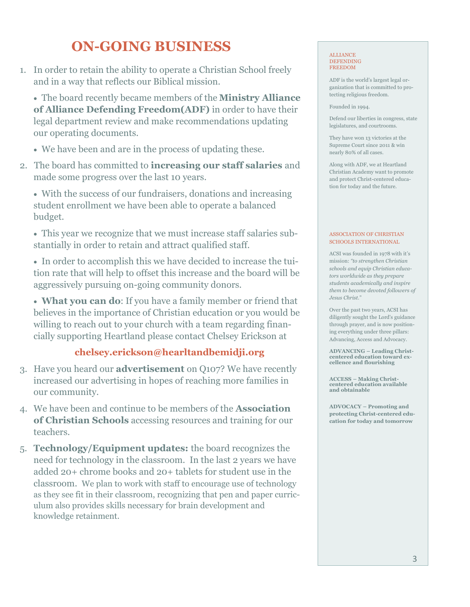# **ON-GOING BUSINESS**

- 1. In order to retain the ability to operate a Christian School freely and in a way that reflects our Biblical mission.
	- The board recently became members of the **Ministry Alliance of Alliance Defending Freedom(ADF)** in order to have their legal department review and make recommendations updating our operating documents.
	- We have been and are in the process of updating these.
- 2. The board has committed to **increasing our staff salaries** and made some progress over the last 10 years.

• With the success of our fundraisers, donations and increasing student enrollment we have been able to operate a balanced budget.

• This year we recognize that we must increase staff salaries substantially in order to retain and attract qualified staff.

• In order to accomplish this we have decided to increase the tuition rate that will help to offset this increase and the board will be aggressively pursuing on-going community donors.

• **What you can do**: If you have a family member or friend that believes in the importance of Christian education or you would be willing to reach out to your church with a team regarding financially supporting Heartland please contact Chelsey Erickson at

#### **chelsey.erickson@hearltandbemidji.org**

- 3. Have you heard our **advertisement** on Q107? We have recently increased our advertising in hopes of reaching more families in our community.
- 4. We have been and continue to be members of the **Association of Christian Schools** accessing resources and training for our teachers.
- 5. **Technology/Equipment updates:** the board recognizes the need for technology in the classroom. In the last 2 years we have added 20+ chrome books and 20+ tablets for student use in the classroom. We plan to work with staff to encourage use of technology as they see fit in their classroom, recognizing that pen and paper curriculum also provides skills necessary for brain development and knowledge retainment.

#### ALLIANCE DEFENDING FREEDOM

ADF is the world's largest legal organization that is committed to protecting religious freedom.

Founded in 1994.

Defend our liberties in congress, state legislatures, and courtrooms.

They have won 13 victories at the Supreme Court since 2011 & win nearly 80% of all cases.

Along with ADF, we at Heartland Christian Academy want to promote and protect Christ-centered education for today and the future.

#### ASSOCIATION OF CHRISTIAN SCHOOLS INTERNATIONAL

ACSI was founded in 1978 with it's mission: *"to strengthen Christian schools and equip Christian educators worldwide as they prepare students academically and inspire them to become devoted followers of Jesus Christ.*"

Over the past two years, ACSI has diligently sought the Lord's guidance through prayer, and is now positioning everything under three pillars: Advancing, Access and Advocacy.

**ADVANCING – Leading Christcentered education toward excellence and flourishing**

**ACCESS – Making Christcentered education available and obtainable**

**ADVOCACY – Promoting and protecting Christ-centered education for today and tomorrow**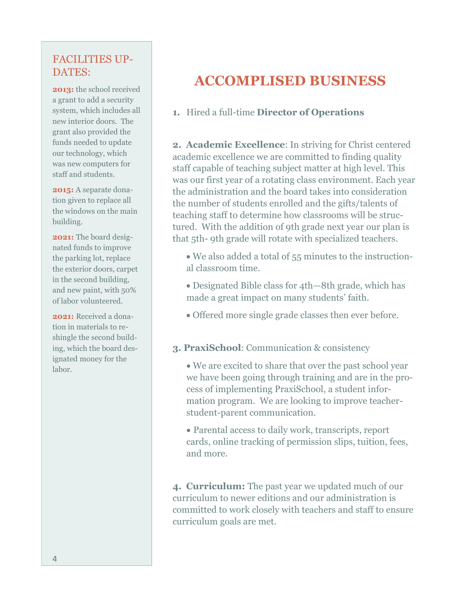### FACILITIES UP-DATES:

**2013:** the school received a grant to add a security system, which includes all new interior doors. The grant also provided the funds needed to update our technology, which was new computers for staff and students.

**2015:** A separate donation given to replace all the windows on the main building.

**2021:** The board designated funds to improve the parking lot, replace the exterior doors, carpet in the second building, and new paint, with 50% of labor volunteered.

**2021:** Received a donation in materials to reshingle the second building, which the board designated money for the labor.

## **ACCOMPLISED BUSINESS**

### **1.** Hired a full-time **Director of Operations**

**2. Academic Excellence**: In striving for Christ centered academic excellence we are committed to finding quality staff capable of teaching subject matter at high level. This was our first year of a rotating class environment. Each year the administration and the board takes into consideration the number of students enrolled and the gifts/talents of teaching staff to determine how classrooms will be structured. With the addition of 9th grade next year our plan is that 5th- 9th grade will rotate with specialized teachers.

- We also added a total of 55 minutes to the instructional classroom time.
- Designated Bible class for 4th—8th grade, which has made a great impact on many students' faith.
- Offered more single grade classes then ever before.
- **3. PraxiSchool**: Communication & consistency
	- We are excited to share that over the past school year we have been going through training and are in the process of implementing PraxiSchool, a student information program. We are looking to improve teacherstudent-parent communication.
	- Parental access to daily work, transcripts, report cards, online tracking of permission slips, tuition, fees, and more.

**4. Curriculum:** The past year we updated much of our curriculum to newer editions and our administration is committed to work closely with teachers and staff to ensure curriculum goals are met.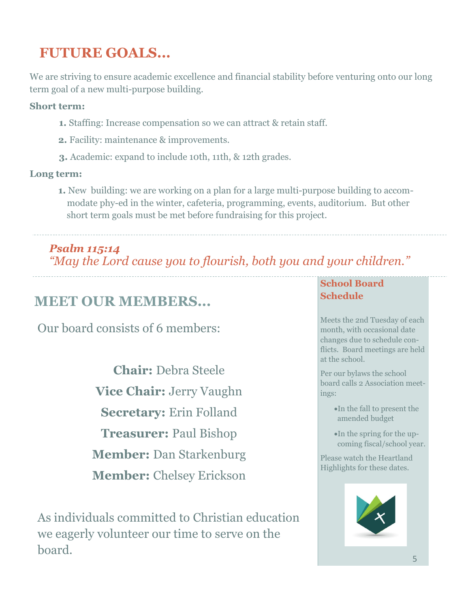# **FUTURE GOALS...**

We are striving to ensure academic excellence and financial stability before venturing onto our long term goal of a new multi-purpose building.

#### **Short term:**

- **1.** Staffing: Increase compensation so we can attract & retain staff.
- **2.** Facility: maintenance & improvements.
- **3.** Academic: expand to include 10th, 11th, & 12th grades.

### **Long term:**

**1.** New building: we are working on a plan for a large multi-purpose building to accom modate phy-ed in the winter, cafeteria, programming, events, auditorium. But other short term goals must be met before fundraising for this project.

### *Psalm 115:14 "May the Lord cause you to flourish, both you and your children."*

## **MEET OUR MEMBERS...**

Our board consists of 6 members:

**Chair:** Debra Steele **Vice Chair:** Jerry Vaughn **Secretary:** Erin Folland **Treasurer:** Paul Bishop **Member:** Dan Starkenburg **Member:** Chelsey Erickson

As individuals committed to Christian education we eagerly volunteer our time to serve on the board.

### **School Board Schedule**

Meets the 2nd Tuesday of each month, with occasional date changes due to schedule conflicts. Board meetings are held at the school.

Per our bylaws the school board calls 2 Association meetings:

- •In the fall to present the amended budget
- •In the spring for the upcoming fiscal/school year.

Please watch the Heartland Highlights for these dates.